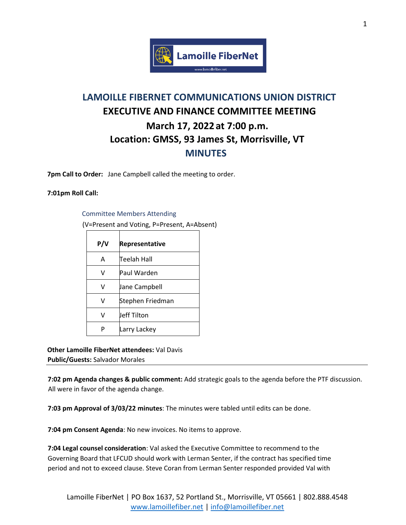

## **LAMOILLE FIBERNET COMMUNICATIONS UNION DISTRICT EXECUTIVE AND FINANCE COMMITTEE MEETING March 17, 2022 at 7:00 p.m. Location: GMSS, 93 James St, Morrisville, VT MINUTES**

**7pm Call to Order:** Jane Campbell called the meeting to order.

## **7:01pm Roll Call:**

## Committee Members Attending

(V=Present and Voting, P=Present, A=Absent)

| P/V | Representative   |
|-----|------------------|
| А   | Teelah Hall      |
| v   | Paul Warden      |
| v   | Jane Campbell    |
| v   | Stephen Friedman |
| v   | Jeff Tilton      |
|     | Larry Lackey     |

**Other Lamoille FiberNet attendees:** Val Davis **Public/Guests:** Salvador Morales

**7:02 pm Agenda changes & public comment:** Add strategic goals to the agenda before the PTF discussion. All were in favor of the agenda change.

**7:03 pm Approval of 3/03/22 minutes**: The minutes were tabled until edits can be done.

**7:04 pm Consent Agenda**: No new invoices. No items to approve.

**7:04 Legal counsel consideration**: Val asked the Executive Committee to recommend to the Governing Board that LFCUD should work with Lerman Senter, if the contract has specified time period and not to exceed clause. Steve Coran from Lerman Senter responded provided Val with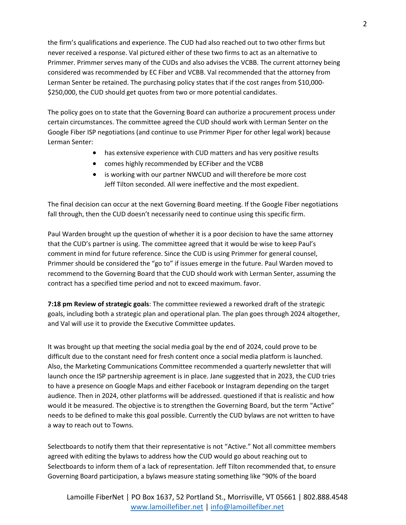the firm's qualifications and experience. The CUD had also reached out to two other firms but never received a response. Val pictured either of these two firms to act as an alternative to Primmer. Primmer serves many of the CUDs and also advises the VCBB. The current attorney being considered was recommended by EC Fiber and VCBB. Val recommended that the attorney from Lerman Senter be retained. The purchasing policy states that if the cost ranges from \$10,000- \$250,000, the CUD should get quotes from two or more potential candidates.

The policy goes on to state that the Governing Board can authorize a procurement process under certain circumstances. The committee agreed the CUD should work with Lerman Senter on the Google Fiber ISP negotiations (and continue to use Primmer Piper for other legal work) because Lerman Senter:

- has extensive experience with CUD matters and has very positive results
- comes highly recommended by ECFiber and the VCBB
- is working with our partner NWCUD and will therefore be more cost Jeff Tilton seconded. All were ineffective and the most expedient.

The final decision can occur at the next Governing Board meeting. If the Google Fiber negotiations fall through, then the CUD doesn't necessarily need to continue using this specific firm.

Paul Warden brought up the question of whether it is a poor decision to have the same attorney that the CUD's partner is using. The committee agreed that it would be wise to keep Paul's comment in mind for future reference. Since the CUD is using Primmer for general counsel, Primmer should be considered the "go to" if issues emerge in the future. Paul Warden moved to recommend to the Governing Board that the CUD should work with Lerman Senter, assuming the contract has a specified time period and not to exceed maximum. favor.

**7:18 pm Review of strategic goals**: The committee reviewed a reworked draft of the strategic goals, including both a strategic plan and operational plan. The plan goes through 2024 altogether, and Val will use it to provide the Executive Committee updates.

It was brought up that meeting the social media goal by the end of 2024, could prove to be difficult due to the constant need for fresh content once a social media platform is launched. Also, the Marketing Communications Committee recommended a quarterly newsletter that will launch once the ISP partnership agreement is in place. Jane suggested that in 2023, the CUD tries to have a presence on Google Maps and either Facebook or Instagram depending on the target audience. Then in 2024, other platforms will be addressed. questioned if that is realistic and how would it be measured. The objective is to strengthen the Governing Board, but the term "Active" needs to be defined to make this goal possible. Currently the CUD bylaws are not written to have a way to reach out to Towns.

Selectboards to notify them that their representative is not "Active." Not all committee members agreed with editing the bylaws to address how the CUD would go about reaching out to Selectboards to inform them of a lack of representation. Jeff Tilton recommended that, to ensure Governing Board participation, a bylaws measure stating something like "90% of the board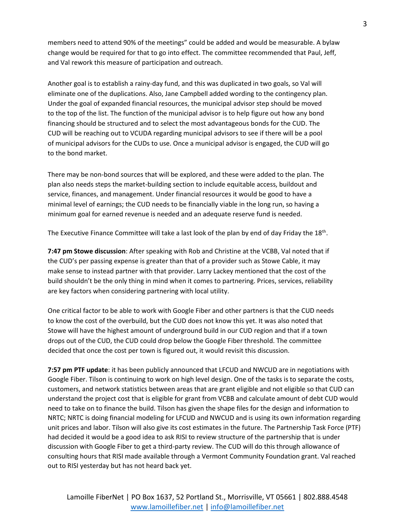members need to attend 90% of the meetings" could be added and would be measurable. A bylaw change would be required for that to go into effect. The committee recommended that Paul, Jeff, and Val rework this measure of participation and outreach.

Another goal is to establish a rainy-day fund, and this was duplicated in two goals, so Val will eliminate one of the duplications. Also, Jane Campbell added wording to the contingency plan. Under the goal of expanded financial resources, the municipal advisor step should be moved to the top of the list. The function of the municipal advisor is to help figure out how any bond financing should be structured and to select the most advantageous bonds for the CUD. The CUD will be reaching out to VCUDA regarding municipal advisors to see if there will be a pool of municipal advisors for the CUDs to use. Once a municipal advisor is engaged, the CUD will go to the bond market.

There may be non-bond sources that will be explored, and these were added to the plan. The plan also needs steps the market-building section to include equitable access, buildout and service, finances, and management. Under financial resources it would be good to have a minimal level of earnings; the CUD needs to be financially viable in the long run, so having a minimum goal for earned revenue is needed and an adequate reserve fund is needed.

The Executive Finance Committee will take a last look of the plan by end of day Friday the 18<sup>th</sup>.

**7:47 pm Stowe discussion**: After speaking with Rob and Christine at the VCBB, Val noted that if the CUD's per passing expense is greater than that of a provider such as Stowe Cable, it may make sense to instead partner with that provider. Larry Lackey mentioned that the cost of the build shouldn't be the only thing in mind when it comes to partnering. Prices, services, reliability are key factors when considering partnering with local utility.

One critical factor to be able to work with Google Fiber and other partners is that the CUD needs to know the cost of the overbuild, but the CUD does not know this yet. It was also noted that Stowe will have the highest amount of underground build in our CUD region and that if a town drops out of the CUD, the CUD could drop below the Google Fiber threshold. The committee decided that once the cost per town is figured out, it would revisit this discussion.

**7:57 pm PTF update**: it has been publicly announced that LFCUD and NWCUD are in negotiations with Google Fiber. Tilson is continuing to work on high level design. One of the tasks is to separate the costs, customers, and network statistics between areas that are grant eligible and not eligible so that CUD can understand the project cost that is eligible for grant from VCBB and calculate amount of debt CUD would need to take on to finance the build. Tilson has given the shape files for the design and information to NRTC; NRTC is doing financial modeling for LFCUD and NWCUD and is using its own information regarding unit prices and labor. Tilson will also give its cost estimates in the future. The Partnership Task Force (PTF) had decided it would be a good idea to ask RISI to review structure of the partnership that is under discussion with Google Fiber to get a third-party review. The CUD will do this through allowance of consulting hours that RISI made available through a Vermont Community Foundation grant. Val reached out to RISI yesterday but has not heard back yet.